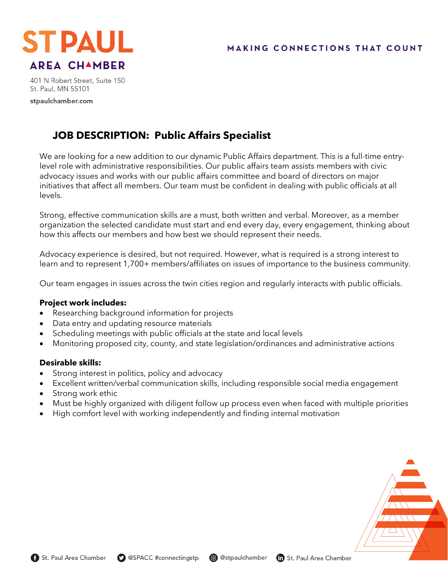

401 N Robert Street, Suite 150 St. Paul, MN 55101

stpaulchamber.com

# **JOB DESCRIPTION: Public Affairs Specialist**

We are looking for a new addition to our dynamic Public Affairs department. This is a full-time entrylevel role with administrative responsibilities. Our public affairs team assists members with civic advocacy issues and works with our public affairs committee and board of directors on major initiatives that affect all members. Our team must be confident in dealing with public officials at all levels.

Strong, effective communication skills are a must, both written and verbal. Moreover, as a member organization the selected candidate must start and end every day, every engagement, thinking about how this affects our members and how best we should represent their needs.

Advocacy experience is desired, but not required. However, what is required is a strong interest to learn and to represent 1,700+ members/affiliates on issues of importance to the business community.

Our team engages in issues across the twin cities region and regularly interacts with public officials.

### **Project work includes:**

- Researching background information for projects
- Data entry and updating resource materials
- Scheduling meetings with public officials at the state and local levels
- Monitoring proposed city, county, and state legislation/ordinances and administrative actions

## **Desirable skills:**

- Strong interest in politics, policy and advocacy
- Excellent written/verbal communication skills, including responsible social media engagement
- Strong work ethic
- Must be highly organized with diligent follow up process even when faced with multiple priorities
- High comfort level with working independently and finding internal motivation